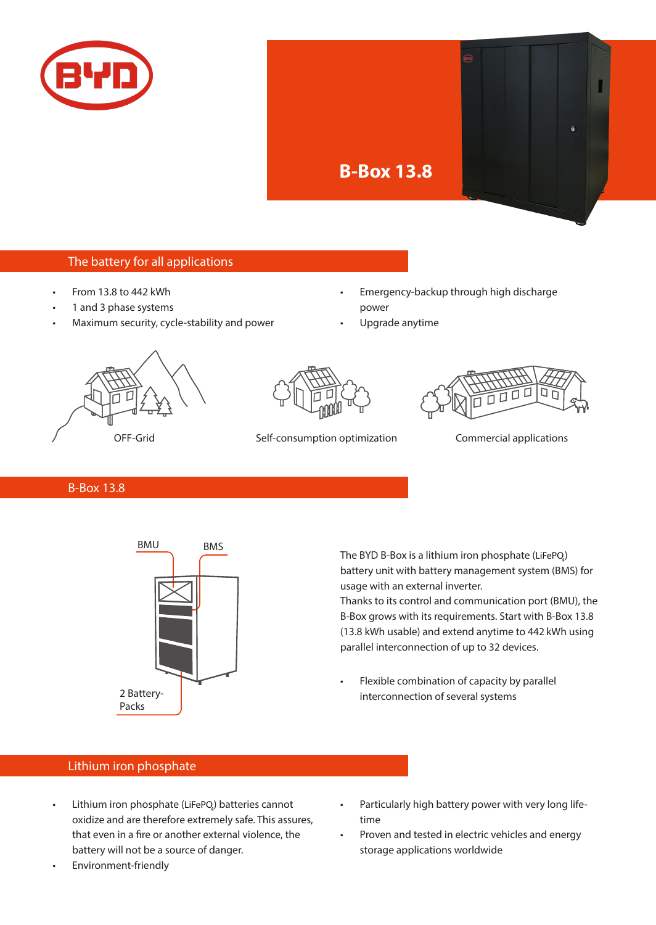



## The battery for all applications

- From 13.8 to 442 kWh
- 1 and 3 phase systems
- Maximum security, cycle-stability and power
- Emergency-backup through high discharge power
- Upgrade anytime





OFF-Grid Self-consumption optimization Commercial applications



B-Box 13.8



The BYD B-Box is a lithium iron phosphate (LiFePO $\!_{\!\scriptscriptstyle 4}$ ) battery unit with battery management system (BMS) for usage with an external inverter.

Thanks to its control and communication port (BMU), the B-Box grows with its requirements. Start with B-Box 13.8 (13.8 kWh usable) and extend anytime to 442 kWh using parallel interconnection of up to 32 devices.

Flexible combination of capacity by parallel interconnection of several systems

## Lithium iron phosphate

- Lithium iron phosphate (LiFePQ) batteries cannot oxidize and are therefore extremely safe. This assures, that even in a fire or another external violence, the battery will not be a source of danger.
- Environment-friendly
- Particularly high battery power with very long lifetime
- Proven and tested in electric vehicles and energy storage applications worldwide